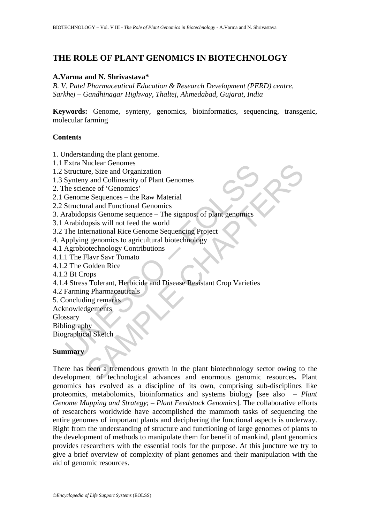## **THE ROLE OF PLANT GENOMICS IN BIOTECHNOLOGY**

#### **A.Varma and N. Shrivastava\***

*B. V. Patel Pharmaceutical Education & Research Development (PERD) centre, Sarkhej – Gandhinagar Highway, Thaltej, Ahmedabad, Gujarat, India* 

**Keywords:** Genome, synteny, genomics, bioinformatics, sequencing, transgenic, molecular farming

#### **Contents**

1. Understanding the plant genome.

- 1.1 Extra Nuclear Genomes
- 1.2 Structure, Size and Organization
- 1.3 Synteny and Collinearity of Plant Genomes
- 2. The science of 'Genomics'
- 2.1 Genome Sequences the Raw Material
- 2.2 Structural and Functional Genomics
- 3. Arabidopsis Genome sequence The signpost of plant genomics
- 3.1 Arabidopsis will not feed the world
- 3.2 The International Rice Genome Sequencing Project
- 4. Applying genomics to agricultural biotechnology
- 4.1 Agrobiotechnology Contributions
- 4.1.1 The Flavr Savr Tomato
- 4.1.2 The Golden Rice
- 4.1.3 Bt Crops
- Extra Nuclear Genomes<br>
Structure, Size and Organization<br>
Synteny and Collinearity of Plant Genomes<br>
he science of 'Genomics'<br>
Genome Sequences the Raw Material<br>
Structural and Functional Genomics<br>
Arabidopsis Genome eque 4.1.4 Stress Tolerant, Herbicide and Disease Resistant Crop Varieties
- 4.2 Farming Pharmaceuticals
- 5. Concluding remarks
- Acknowledgements
- Glossary
- Bibliography

Biographical Sketch

#### **Summary**

Free Geometrical<br>
The Size and Organization<br>
The Size and Organization<br>
and Collinearity of Plant Genomes<br>
nee of 'Genomics'<br>
ral and Functional Genomics<br>
ral and Functional Genomics<br>
pass Genome sequence – The signpost of There has been a tremendous growth in the plant biotechnology sector owing to the development of technological advances and enormous genomic resources**.** Plant genomics has evolved as a discipline of its own, comprising sub-disciplines like proteomics, metabolomics, bioinformatics and systems biology [see also – *Plant Genome Mapping and Strategy*; – *Plant Feedstock Genomics*]. The collaborative efforts of researchers worldwide have accomplished the mammoth tasks of sequencing the entire genomes of important plants and deciphering the functional aspects is underway. Right from the understanding of structure and functioning of large genomes of plants to the development of methods to manipulate them for benefit of mankind, plant genomics provides researchers with the essential tools for the purpose. At this juncture we try to give a brief overview of complexity of plant genomes and their manipulation with the aid of genomic resources.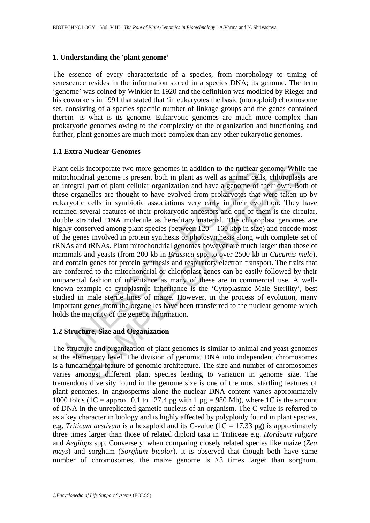#### **1. Understanding the 'plant genome'**

The essence of every characteristic of a species, from morphology to timing of senescence resides in the information stored in a species DNA; its genome. The term 'genome' was coined by Winkler in 1920 and the definition was modified by Rieger and his coworkers in 1991 that stated that 'in eukaryotes the basic (monoploid) chromosome set, consisting of a species specific number of linkage groups and the genes contained therein' is what is its genome. Eukaryotic genomes are much more complex than prokaryotic genomes owing to the complexity of the organization and functioning and further, plant genomes are much more complex than any other eukaryotic genomes.

#### **1.1 Extra Nuclear Genomes**

it cells incorporate two more genomes in addition to the nuclear cochondrial genome is present both in plant as well as animal cell<br>ntegral part of plant cellular organization and have a genome of<br>e organelles are thought incorporate two more genomes in addition to the nuclear genome. While<br>rial genome is present both in plant as well as animal cells, chloroplasts<br>part of plant cellular organization and have a genome of their own. Bot<br>nelle Plant cells incorporate two more genomes in addition to the nuclear genome. While the mitochondrial genome is present both in plant as well as animal cells, chloroplasts are an integral part of plant cellular organization and have a genome of their own. Both of these organelles are thought to have evolved from prokaryotes that were taken up by eukaryotic cells in symbiotic associations very early in their evolution. They have retained several features of their prokaryotic ancestors and one of them is the circular, double stranded DNA molecule as hereditary material. The chloroplast genomes are highly conserved among plant species (between  $120 - 160$  kbp in size) and encode most of the genes involved in protein synthesis or photosynthesis along with complete set of rRNAs and tRNAs. Plant mitochondrial genomes however are much larger than those of mammals and yeasts (from 200 kb in *Brassica* spp. to over 2500 kb in *Cucumis melo*), and contain genes for protein synthesis and respiratory electron transport. The traits that are conferred to the mitochondrial or chloroplast genes can be easily followed by their uniparental fashion of inheritance as many of these are in commercial use. A wellknown example of cytoplasmic inheritance is the 'Cytoplasmic Male Sterility', best studied in male sterile lines of maize. However, in the process of evolution, many important genes from the organelles have been transferred to the nuclear genome which holds the majority of the genetic information.

### **1.2 Structure, Size and Organization**

The structure and organization of plant genomes is similar to animal and yeast genomes at the elementary level. The division of genomic DNA into independent chromosomes is a fundamental feature of genomic architecture. The size and number of chromosomes varies amongst different plant species leading to variation in genome size. The tremendous diversity found in the genome size is one of the most startling features of plant genomes. In angiosperms alone the nuclear DNA content varies approximately 1000 folds (1C = approx. 0.1 to 127.4 pg with 1 pg = 980 Mb), where 1C is the amount of DNA in the unreplicated gametic nucleus of an organism. The C-value is referred to as a key character in biology and is highly affected by polyploidy found in plant species, e.g. *Triticum aestivum* is a hexaploid and its C-value  $(1C = 17.33 \text{ pg})$  is approximately three times larger than those of related diploid taxa in Triticeae e.g. *Hordeum vulgare* and *Aegilops* spp. Conversely, when comparing closely related species like maize (*Zea mays*) and sorghum (*Sorghum bicolor*), it is observed that though both have same number of chromosomes, the maize genome is  $>3$  times larger than sorghum.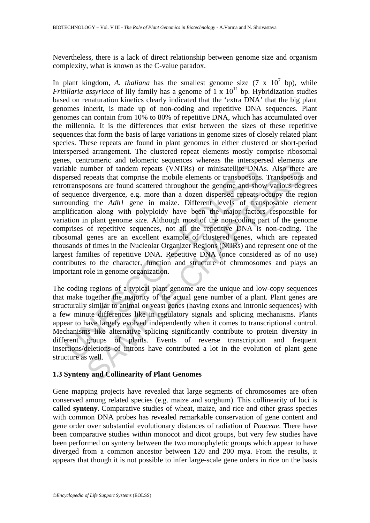Nevertheless, there is a lack of direct relationship between genome size and organism complexity, what is known as the C-value paradox.

able number of tandem repeats (VNTRs) or minisatellite DNe<br>ersed repeats that comprise the mobile elements or transoposons<br>otransposons are found scattered throughout the genome and she<br>equence divergence, e.g. more than a mber of tandem repeats (VNTRs) or minisatellite DNAs. Also there epeats that comprise the mobile elements or transoposons. Transposons are found scattered throughout the genome and show various see divergence, e.g. more th In plant kingdom, A. *thaliana* has the smallest genome size  $(7 \times 10^7)$  bp), while *Fritillaria assyriaca* of lily family has a genome of  $1 \times 10^{11}$  bp. Hybridization studies based on renaturation kinetics clearly indicated that the 'extra DNA' that the big plant genomes inherit, is made up of non-coding and repetitive DNA sequences. Plant genomes can contain from 10% to 80% of repetitive DNA, which has accumulated over the millennia. It is the differences that exist between the sizes of these repetitive sequences that form the basis of large variations in genome sizes of closely related plant species. These repeats are found in plant genomes in either clustered or short-period interspersed arrangement. The clustered repeat elements mostly comprise ribosomal genes, centromeric and telomeric sequences whereas the interspersed elements are variable number of tandem repeats (VNTRs) or minisatellite DNAs. Also there are dispersed repeats that comprise the mobile elements or transoposons. Transposons and retrotransposons are found scattered throughout the genome and show various degrees of sequence divergence, e.g. more than a dozen dispersed repeats occupy the region surrounding the *Adh1* gene in maize. Different levels of transposable element amplification along with polyploidy have been the major factors responsible for variation in plant genome size. Although most of the non-coding part of the genome comprises of repetitive sequences, not all the repetitive DNA is non-coding. The ribosomal genes are an excellent example of clustered genes, which are repeated thousands of times in the Nucleolar Organizer Regions (NORs) and represent one of the largest families of repetitive DNA. Repetitive DNA (once considered as of no use) contributes to the character, function and structure of chromosomes and plays an important role in genome organization.

The coding regions of a typical plant genome are the unique and low-copy sequences that make together the majority of the actual gene number of a plant. Plant genes are structurally similar to animal or yeast genes (having exons and intronic sequences) with a few minute differences like in regulatory signals and splicing mechanisms. Plants appear to have largely evolved independently when it comes to transcriptional control. Mechanisms like alternative splicing significantly contribute to protein diversity in different groups of plants. Events of reverse transcription and frequent insertions/deletions of introns have contributed a lot in the evolution of plant gene structure as well.

#### **1.3 Synteny and Collinearity of Plant Genomes**

Gene mapping projects have revealed that large segments of chromosomes are often conserved among related species (e.g. maize and sorghum). This collinearity of loci is called **synteny**. Comparative studies of wheat, maize, and rice and other grass species with common DNA probes has revealed remarkable conservation of gene content and gene order over substantial evolutionary distances of radiation of *Poaceae*. There have been comparative studies within monocot and dicot groups, but very few studies have been performed on synteny between the two monophyletic groups which appear to have diverged from a common ancestor between 120 and 200 mya. From the results, it appears that though it is not possible to infer large-scale gene orders in rice on the basis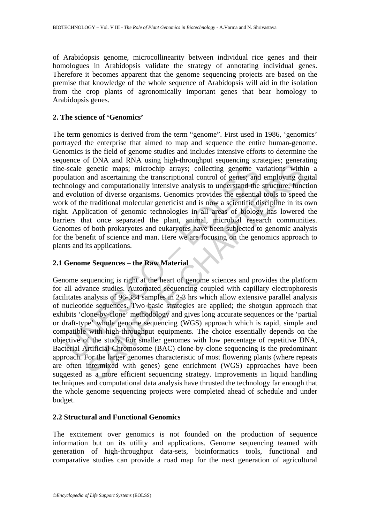of Arabidopsis genome, microcollinearity between individual rice genes and their homologues in Arabidopsis validate the strategy of annotating individual genes. Therefore it becomes apparent that the genome sequencing projects are based on the premise that knowledge of the whole sequence of Arabidopsis will aid in the isolation from the crop plants of agronomically important genes that bear homology to Arabidopsis genes.

## **2. The science of 'Genomics'**

-scale genetic maps; microchip arrays; collecting genome valuation and ascertaining the transcriptional control of genes; and<br>nology and computationally intensive analysis to understand the<br>evolution of diverse organisms. The term genomics is derived from the term "genome". First used in 1986, 'genomics' portrayed the enterprise that aimed to map and sequence the entire human-genome. Genomics is the field of genome studies and includes intensive efforts to determine the sequence of DNA and RNA using high-throughput sequencing strategies; generating fine-scale genetic maps; microchip arrays; collecting genome variations within a population and ascertaining the transcriptional control of genes; and employing digital technology and computationally intensive analysis to understand the structure, function and evolution of diverse organisms. Genomics provides the essential tools to speed the work of the traditional molecular geneticist and is now a scientific discipline in its own right. Application of genomic technologies in all areas of biology has lowered the barriers that once separated the plant, animal, microbial research communities. Genomes of both prokaryotes and eukaryotes have been subjected to genomic analysis for the benefit of science and man. Here we are focusing on the genomics approach to plants and its applications.

# **2.1 Genome Sequences – the Raw Material**

genetic maps, microchip arrays; collecting genome variations with<br>and ascertaining the transcriptional control of genes, and employing dia<br>and computationally intensive analysis to understand the streture, func-<br>ion of div Genome sequencing is right at the heart of genome sciences and provides the platform for all advance studies. Automated sequencing coupled with capillary electrophoresis facilitates analysis of 96-384 samples in 2-3 hrs which allow extensive parallel analysis of nucleotide sequences. Two basic strategies are applied; the shotgun approach that exhibits 'clone-by-clone' methodology and gives long accurate sequences or the 'partial or draft-type' whole genome sequencing (WGS) approach which is rapid, simple and compatible with high-throughput equipments. The choice essentially depends on the objective of the study. For smaller genomes with low percentage of repetitive DNA, Bacterial Artificial Chromosome (BAC) clone-by-clone sequencing is the predominant approach. For the larger genomes characteristic of most flowering plants (where repeats are often intermixed with genes) gene enrichment (WGS) approaches have been suggested as a more efficient sequencing strategy. Improvements in liquid handling techniques and computational data analysis have thrusted the technology far enough that the whole genome sequencing projects were completed ahead of schedule and under budget.

### **2.2 Structural and Functional Genomics**

The excitement over genomics is not founded on the production of sequence information but on its utility and applications. Genome sequencing teamed with generation of high-throughput data-sets, bioinformatics tools, functional and comparative studies can provide a road map for the next generation of agricultural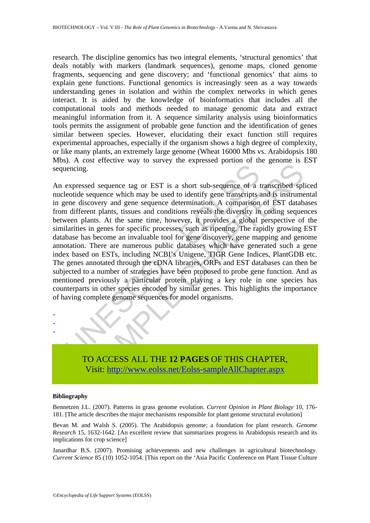research. The discipline genomics has two integral elements, 'structural genomics' that deals notably with markers (landmark sequences), genome maps, cloned genome fragments, sequencing and gene discovery; and 'functional genomics' that aims to explain gene functions. Functional genomics is increasingly seen as a way towards understanding genes in isolation and within the complex networks in which genes interact. It is aided by the knowledge of bioinformatics that includes all the computational tools and methods needed to manage genomic data and extract meaningful information from it. A sequence similarity analysis using bioinformatics tools permits the assignment of probable gene function and the identification of genes similar between species. However, elucidating their exact function still requires experimental approaches, especially if the organism shows a high degree of complexity, or like many plants, an extremely large genome (Wheat 16000 Mbs vs. Arabidopsis 180 Mbs). A cost effective way to survey the expressed portion of the genome is EST sequencing.

expressed sequence tag or EST is a short sub-sequence of a leotide sequence which may be used to identify gene transcripts encovery and gene sequence determination. A comparison on different plants, tissues and conditions Sed sequence tag or EST is a short sub-sequence of a transcribed sp<br>sequence which may be used to identify gene transcripts and is instrume<br>scovery and gene sequence determination. A comparison of EST datable<br>the plants, t An expressed sequence tag or EST is a short sub-sequence of a transcribed spliced nucleotide sequence which may be used to identify gene transcripts and is instrumental in gene discovery and gene sequence determination. A comparison of EST databases from different plants, tissues and conditions reveals the diversity in coding sequences between plants. At the same time, however, it provides a global perspective of the similarities in genes for specific processes, such as ripening. The rapidly growing EST database has become an invaluable tool for gene discovery, gene mapping and genome annotation. There are numerous public databases which have generated such a gene index based on ESTs, including NCBI's Unigene, TIGR Gene Indices, PlantGDB etc. The genes annotated through the cDNA libraries, ORFs and EST databases can then be subjected to a number of strategies have been proposed to probe gene function. And as mentioned previously a particular protein playing a key role in one species has counterparts in other species encoded by similar genes. This highlights the importance of having complete genome sequences for model organisms.



#### **Bibliography**

- - -

Bennetzen J.L. (2007). Patterns in grass genome evolution. *Current Opinion in Plant Biology* 10, 176- 181. [The article describes the major mechanisms responsible for plant genome structural evolution]

Bevan M. and Walsh S. (2005). The Arabidopsis genome; a foundation for plant research. *Genome Research* 15, 1632-1642. [An excellent review that summarizes progress in Arabidopsis research and its implications for crop science]

Janardhar B.S. (2007). Promising achievements and new challenges in agricultural biotechnology. *Current Science* 85 (10) 1052-1054. [This report on the 'Asia Pacific Conference on Plant Tissue Culture